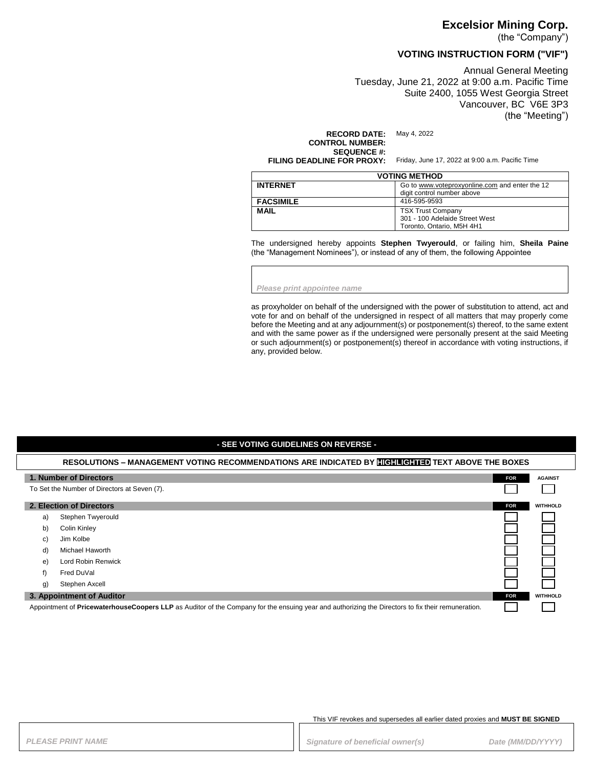#### **Excelsior Mining Corp.**

(the "Company")

## **VOTING INSTRUCTION FORM ("VIF")**

Annual General Meeting Tuesday, June 21, 2022 at 9:00 a.m. Pacific Time Suite 2400, 1055 West Georgia Street Vancouver, BC V6E 3P3 (the "Meeting")

**RECORD DATE:** May 4, 2022

**CONTROL NUMBER: SEQUENCE #:**<br>FILING DEADLINE FOR PROXY:

Friday, June 17, 2022 at 9:00 a.m. Pacific Time

| <b>VOTING METHOD</b> |                                                                                         |
|----------------------|-----------------------------------------------------------------------------------------|
| <b>INTERNET</b>      | Go to www.voteproxyonline.com and enter the 12<br>digit control number above            |
| <b>FACSIMILE</b>     | 416-595-9593                                                                            |
| <b>MAIL</b>          | <b>TSX Trust Company</b><br>301 - 100 Adelaide Street West<br>Toronto, Ontario, M5H 4H1 |

The undersigned hereby appoints **Stephen Twyerould**, or failing him, **Sheila Paine** (the "Management Nominees"), or instead of any of them, the following Appointee

*Please print appointee name*

as proxyholder on behalf of the undersigned with the power of substitution to attend, act and vote for and on behalf of the undersigned in respect of all matters that may properly come before the Meeting and at any adjournment(s) or postponement(s) thereof, to the same extent and with the same power as if the undersigned were personally present at the said Meeting or such adjournment(s) or postponement(s) thereof in accordance with voting instructions, if any, provided below.

## **- SEE VOTING GUIDELINES ON REVERSE - RESOLUTIONS – MANAGEMENT VOTING RECOMMENDATIONS ARE INDICATED BY HIGHLIGHTED TEXT ABOVE THE BOXES 1. Number of Directors FOR FOR FOR FOR FOR FOR FOR FOR FOR FOR FOR FOR FOR FOR AGAINST** To Set the Number of Directors at Seven (7). **2. Election of Directors FOR WITHHOLD** a) Stephen Twyerould b) Colin Kinley c) Jim Kolbe d) Michael Haworth e) Lord Robin Renwick f) Fred DuVal g) Stephen Axcell **3. Appointment of Auditor FOR WITHHOLD**

Appointment of **PricewaterhouseCoopers LLP** as Auditor of the Company for the ensuing year and authorizing the Directors to fix their remuneration.

This VIF revokes and supersedes all earlier dated proxies and **MUST BE SIGNED**